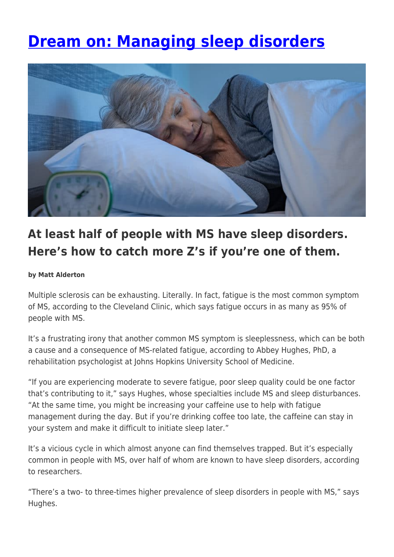# **[Dream on: Managing sleep disorders](https://momentummagazineonline.com/managing-sleep-disorders/)**



# **At least half of people with MS have sleep disorders. Here's how to catch more Z's if you're one of them.**

#### **by Matt Alderton**

Multiple sclerosis can be exhausting. Literally. In fact, fatigue is the most common symptom of MS, according to the Cleveland Clinic, which says fatigue occurs in as many as 95% of people with MS.

It's a frustrating irony that another common MS symptom is sleeplessness, which can be both a cause and a consequence of MS-related fatigue, according to Abbey Hughes, PhD, a rehabilitation psychologist at Johns Hopkins University School of Medicine.

"If you are experiencing moderate to severe fatigue, poor sleep quality could be one factor that's contributing to it," says Hughes, whose specialties include MS and sleep disturbances. "At the same time, you might be increasing your caffeine use to help with fatigue management during the day. But if you're drinking coffee too late, the caffeine can stay in your system and make it difficult to initiate sleep later."

It's a vicious cycle in which almost anyone can find themselves trapped. But it's especially common in people with MS, over half of whom are known to have sleep disorders, according to researchers.

"There's a two- to three-times higher prevalence of sleep disorders in people with MS," says Hughes.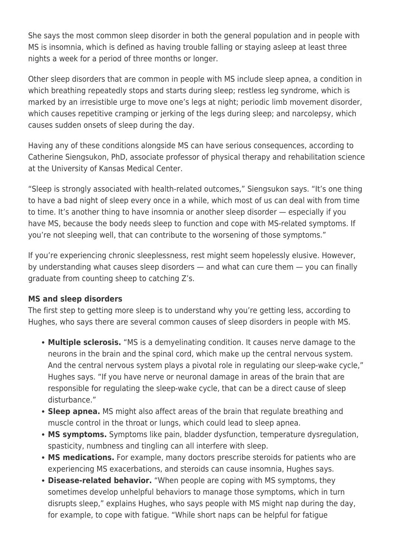She says the most common sleep disorder in both the general population and in people with MS is insomnia, which is defined as having trouble falling or staying asleep at least three nights a week for a period of three months or longer.

Other sleep disorders that are common in people with MS include sleep apnea, a condition in which breathing repeatedly stops and starts during sleep; restless leg syndrome, which is marked by an irresistible urge to move one's legs at night; periodic limb movement disorder, which causes repetitive cramping or jerking of the legs during sleep; and narcolepsy, which causes sudden onsets of sleep during the day.

Having any of these conditions alongside MS can have serious consequences, according to Catherine Siengsukon, PhD, associate professor of physical therapy and rehabilitation science at the University of Kansas Medical Center.

"Sleep is strongly associated with health-related outcomes," Siengsukon says. "It's one thing to have a bad night of sleep every once in a while, which most of us can deal with from time to time. It's another thing to have insomnia or another sleep disorder — especially if you have MS, because the body needs sleep to function and cope with MS-related symptoms. If you're not sleeping well, that can contribute to the worsening of those symptoms."

If you're experiencing chronic sleeplessness, rest might seem hopelessly elusive. However, by understanding what causes sleep disorders — and what can cure them — you can finally graduate from counting sheep to catching Z's.

#### **MS and sleep disorders**

The first step to getting more sleep is to understand why you're getting less, according to Hughes, who says there are several common causes of sleep disorders in people with MS.

- **Multiple sclerosis.** "MS is a demyelinating condition. It causes nerve damage to the neurons in the brain and the spinal cord, which make up the central nervous system. And the central nervous system plays a pivotal role in regulating our sleep-wake cycle," Hughes says. "If you have nerve or neuronal damage in areas of the brain that are responsible for regulating the sleep-wake cycle, that can be a direct cause of sleep disturbance."
- **Sleep apnea.** MS might also affect areas of the brain that regulate breathing and muscle control in the throat or lungs, which could lead to sleep apnea.
- **MS symptoms.** Symptoms like pain, bladder dysfunction, temperature dysregulation, spasticity, numbness and tingling can all interfere with sleep.
- **MS medications.** For example, many doctors prescribe steroids for patients who are experiencing MS exacerbations, and steroids can cause insomnia, Hughes says.
- **Disease-related behavior.** "When people are coping with MS symptoms, they sometimes develop unhelpful behaviors to manage those symptoms, which in turn disrupts sleep," explains Hughes, who says people with MS might nap during the day, for example, to cope with fatigue. "While short naps can be helpful for fatigue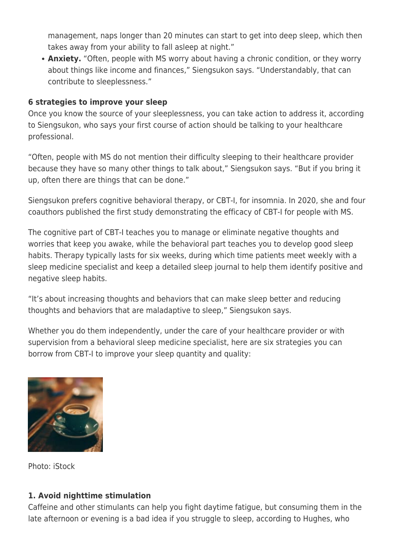management, naps longer than 20 minutes can start to get into deep sleep, which then takes away from your ability to fall asleep at night."

**Anxiety.** "Often, people with MS worry about having a chronic condition, or they worry about things like income and finances," Siengsukon says. "Understandably, that can contribute to sleeplessness."

#### **6 strategies to improve your sleep**

Once you know the source of your sleeplessness, you can take action to address it, according to Siengsukon, who says your first course of action should be talking to your healthcare professional.

"Often, people with MS do not mention their difficulty sleeping to their healthcare provider because they have so many other things to talk about," Siengsukon says. "But if you bring it up, often there are things that can be done."

Siengsukon prefers cognitive behavioral therapy, or CBT-I, for insomnia. In 2020, she and four coauthors published the first study demonstrating the efficacy of CBT-I for people with MS.

The cognitive part of CBT-I teaches you to manage or eliminate negative thoughts and worries that keep you awake, while the behavioral part teaches you to develop good sleep habits. Therapy typically lasts for six weeks, during which time patients meet weekly with a sleep medicine specialist and keep a detailed sleep journal to help them identify positive and negative sleep habits.

"It's about increasing thoughts and behaviors that can make sleep better and reducing thoughts and behaviors that are maladaptive to sleep," Siengsukon says.

Whether you do them independently, under the care of your healthcare provider or with supervision from a behavioral sleep medicine specialist, here are six strategies you can borrow from CBT-I to improve your sleep quantity and quality:



Photo: iStock

#### **1. Avoid nighttime stimulation**

Caffeine and other stimulants can help you fight daytime fatigue, but consuming them in the late afternoon or evening is a bad idea if you struggle to sleep, according to Hughes, who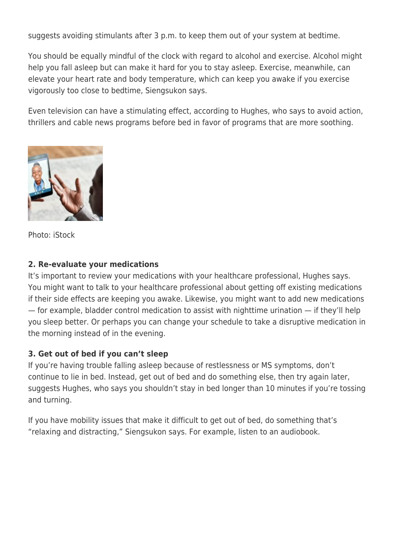suggests avoiding stimulants after 3 p.m. to keep them out of your system at bedtime.

You should be equally mindful of the clock with regard to alcohol and exercise. Alcohol might help you fall asleep but can make it hard for you to stay asleep. Exercise, meanwhile, can elevate your heart rate and body temperature, which can keep you awake if you exercise vigorously too close to bedtime, Siengsukon says.

Even television can have a stimulating effect, according to Hughes, who says to avoid action, thrillers and cable news programs before bed in favor of programs that are more soothing.



Photo: iStock

#### **2. Re-evaluate your medications**

It's important to review your medications with your healthcare professional, Hughes says. You might want to talk to your healthcare professional about getting off existing medications if their side effects are keeping you awake. Likewise, you might want to add new medications — for example, bladder control medication to assist with nighttime urination — if they'll help you sleep better. Or perhaps you can change your schedule to take a disruptive medication in the morning instead of in the evening.

#### **3. Get out of bed if you can't sleep**

If you're having trouble falling asleep because of restlessness or MS symptoms, don't continue to lie in bed. Instead, get out of bed and do something else, then try again later, suggests Hughes, who says you shouldn't stay in bed longer than 10 minutes if you're tossing and turning.

If you have mobility issues that make it difficult to get out of bed, do something that's "relaxing and distracting," Siengsukon says. For example, listen to an audiobook.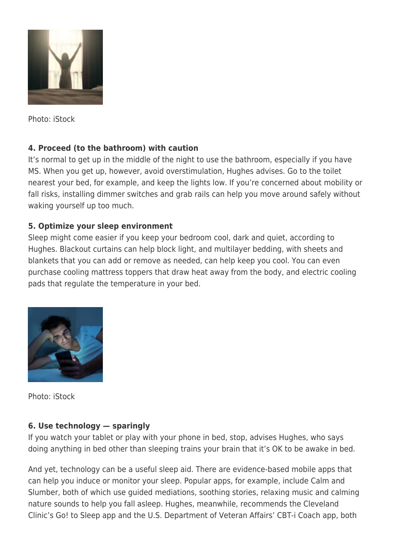

Photo: iStock

## **4. Proceed (to the bathroom) with caution**

It's normal to get up in the middle of the night to use the bathroom, especially if you have MS. When you get up, however, avoid overstimulation, Hughes advises. Go to the toilet nearest your bed, for example, and keep the lights low. If you're concerned about mobility or fall risks, installing dimmer switches and grab rails can help you move around safely without waking yourself up too much.

### **5. Optimize your sleep environment**

Sleep might come easier if you keep your bedroom cool, dark and quiet, according to Hughes. Blackout curtains can help block light, and multilayer bedding, with sheets and blankets that you can add or remove as needed, can help keep you cool. You can even purchase cooling mattress toppers that draw heat away from the body, and electric cooling pads that regulate the temperature in your bed.



Photo: iStock

#### **6. Use technology — sparingly**

If you watch your tablet or play with your phone in bed, stop, advises Hughes, who says doing anything in bed other than sleeping trains your brain that it's OK to be awake in bed.

And yet, technology can be a useful sleep aid. There are evidence-based mobile apps that can help you induce or monitor your sleep. Popular apps, for example, include Calm and Slumber, both of which use guided mediations, soothing stories, relaxing music and calming nature sounds to help you fall asleep. Hughes, meanwhile, recommends the Cleveland Clinic's Go! to Sleep app and the U.S. Department of Veteran Affairs' CBT-i Coach app, both